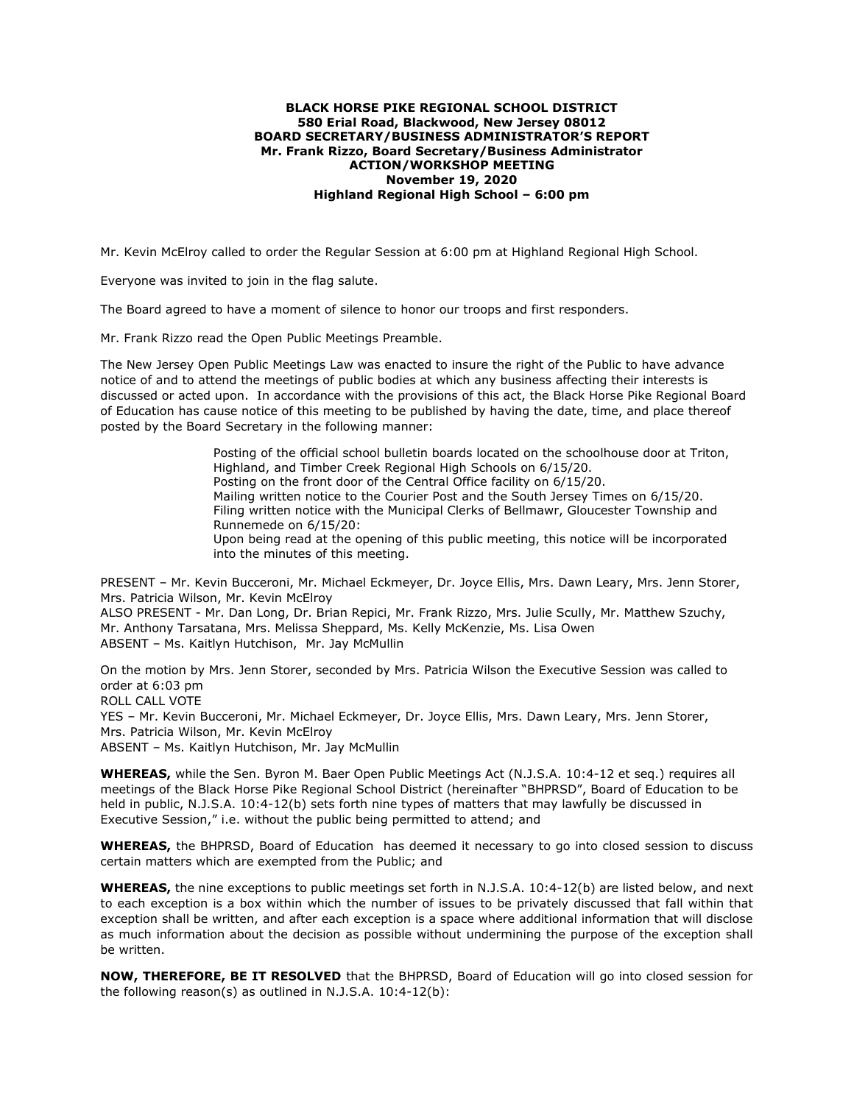#### **BLACK HORSE PIKE REGIONAL SCHOOL DISTRICT 580 Erial Road, Blackwood, New Jersey 08012 BOARD SECRETARY/BUSINESS ADMINISTRATOR'S REPORT Mr. Frank Rizzo, Board Secretary/Business Administrator ACTION/WORKSHOP MEETING November 19, 2020 Highland Regional High School – 6:00 pm**

Mr. Kevin McElroy called to order the Regular Session at 6:00 pm at Highland Regional High School.

Everyone was invited to join in the flag salute.

The Board agreed to have a moment of silence to honor our troops and first responders.

Mr. Frank Rizzo read the Open Public Meetings Preamble.

The New Jersey Open Public Meetings Law was enacted to insure the right of the Public to have advance notice of and to attend the meetings of public bodies at which any business affecting their interests is discussed or acted upon. In accordance with the provisions of this act, the Black Horse Pike Regional Board of Education has cause notice of this meeting to be published by having the date, time, and place thereof posted by the Board Secretary in the following manner:

> Posting of the official school bulletin boards located on the schoolhouse door at Triton, Highland, and Timber Creek Regional High Schools on 6/15/20. Posting on the front door of the Central Office facility on 6/15/20. Mailing written notice to the Courier Post and the South Jersey Times on 6/15/20. Filing written notice with the Municipal Clerks of Bellmawr, Gloucester Township and Runnemede on 6/15/20: Upon being read at the opening of this public meeting, this notice will be incorporated into the minutes of this meeting.

PRESENT – Mr. Kevin Bucceroni, Mr. Michael Eckmeyer, Dr. Joyce Ellis, Mrs. Dawn Leary, Mrs. Jenn Storer, Mrs. Patricia Wilson, Mr. Kevin McElroy

ALSO PRESENT - Mr. Dan Long, Dr. Brian Repici, Mr. Frank Rizzo, Mrs. Julie Scully, Mr. Matthew Szuchy, Mr. Anthony Tarsatana, Mrs. Melissa Sheppard, Ms. Kelly McKenzie, Ms. Lisa Owen ABSENT – Ms. Kaitlyn Hutchison, Mr. Jay McMullin

On the motion by Mrs. Jenn Storer, seconded by Mrs. Patricia Wilson the Executive Session was called to order at 6:03 pm ROLL CALL VOTE YES – Mr. Kevin Bucceroni, Mr. Michael Eckmeyer, Dr. Joyce Ellis, Mrs. Dawn Leary, Mrs. Jenn Storer,

Mrs. Patricia Wilson, Mr. Kevin McElroy ABSENT – Ms. Kaitlyn Hutchison, Mr. Jay McMullin

**WHEREAS,** while the Sen. Byron M. Baer Open Public Meetings Act (N.J.S.A. 10:4-12 et seq.) requires all meetings of the Black Horse Pike Regional School District (hereinafter "BHPRSD", Board of Education to be held in public, N.J.S.A. 10:4-12(b) sets forth nine types of matters that may lawfully be discussed in Executive Session," i.e. without the public being permitted to attend; and

**WHEREAS,** the BHPRSD, Board of Education has deemed it necessary to go into closed session to discuss certain matters which are exempted from the Public; and

**WHEREAS,** the nine exceptions to public meetings set forth in N.J.S.A. 10:4-12(b) are listed below, and next to each exception is a box within which the number of issues to be privately discussed that fall within that exception shall be written, and after each exception is a space where additional information that will disclose as much information about the decision as possible without undermining the purpose of the exception shall be written.

**NOW, THEREFORE, BE IT RESOLVED** that the BHPRSD, Board of Education will go into closed session for the following reason(s) as outlined in N.J.S.A. 10:4-12(b):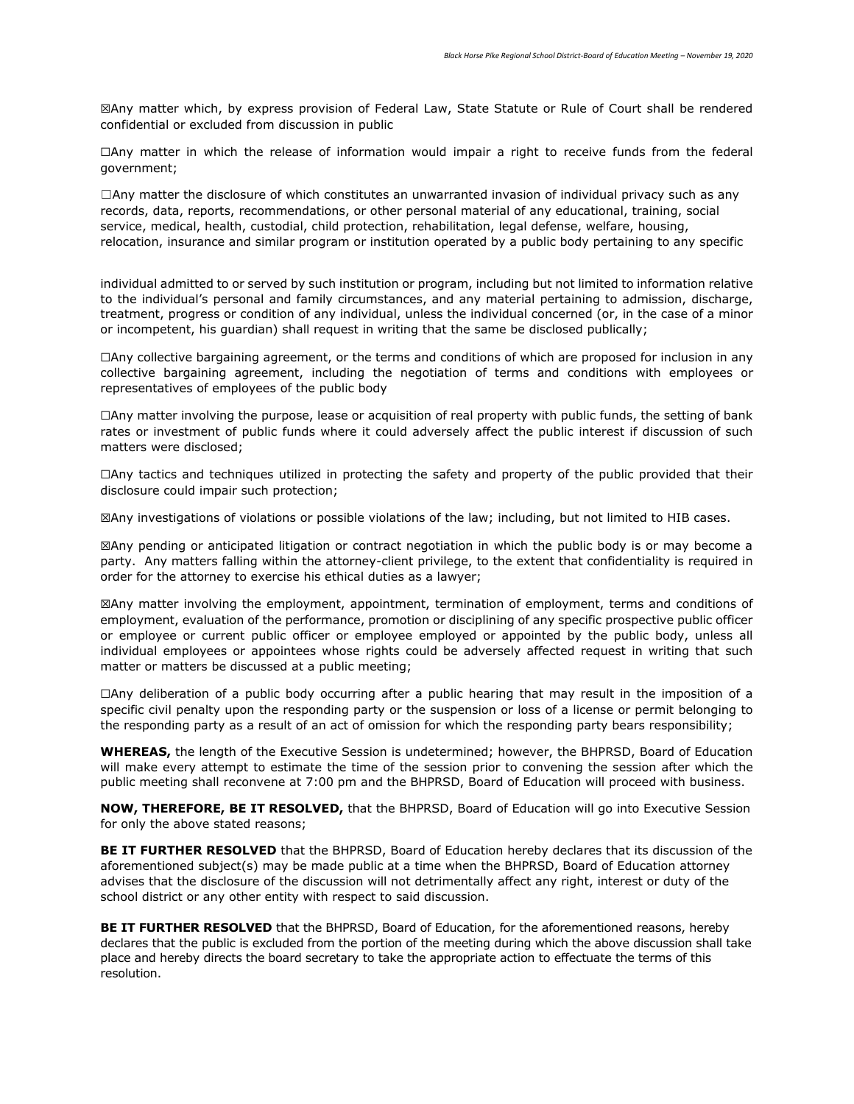☒Any matter which, by express provision of Federal Law, State Statute or Rule of Court shall be rendered confidential or excluded from discussion in public

☐Any matter in which the release of information would impair a right to receive funds from the federal government;

 $\Box$ Any matter the disclosure of which constitutes an unwarranted invasion of individual privacy such as any records, data, reports, recommendations, or other personal material of any educational, training, social service, medical, health, custodial, child protection, rehabilitation, legal defense, welfare, housing, relocation, insurance and similar program or institution operated by a public body pertaining to any specific

individual admitted to or served by such institution or program, including but not limited to information relative to the individual's personal and family circumstances, and any material pertaining to admission, discharge, treatment, progress or condition of any individual, unless the individual concerned (or, in the case of a minor or incompetent, his guardian) shall request in writing that the same be disclosed publically;

☐Any collective bargaining agreement, or the terms and conditions of which are proposed for inclusion in any collective bargaining agreement, including the negotiation of terms and conditions with employees or representatives of employees of the public body

☐Any matter involving the purpose, lease or acquisition of real property with public funds, the setting of bank rates or investment of public funds where it could adversely affect the public interest if discussion of such matters were disclosed;

☐Any tactics and techniques utilized in protecting the safety and property of the public provided that their disclosure could impair such protection;

☒Any investigations of violations or possible violations of the law; including, but not limited to HIB cases.

☒Any pending or anticipated litigation or contract negotiation in which the public body is or may become a party. Any matters falling within the attorney-client privilege, to the extent that confidentiality is required in order for the attorney to exercise his ethical duties as a lawyer;

☒Any matter involving the employment, appointment, termination of employment, terms and conditions of employment, evaluation of the performance, promotion or disciplining of any specific prospective public officer or employee or current public officer or employee employed or appointed by the public body, unless all individual employees or appointees whose rights could be adversely affected request in writing that such matter or matters be discussed at a public meeting;

☐Any deliberation of a public body occurring after a public hearing that may result in the imposition of a specific civil penalty upon the responding party or the suspension or loss of a license or permit belonging to the responding party as a result of an act of omission for which the responding party bears responsibility;

**WHEREAS,** the length of the Executive Session is undetermined; however, the BHPRSD, Board of Education will make every attempt to estimate the time of the session prior to convening the session after which the public meeting shall reconvene at 7:00 pm and the BHPRSD, Board of Education will proceed with business.

**NOW, THEREFORE, BE IT RESOLVED,** that the BHPRSD, Board of Education will go into Executive Session for only the above stated reasons;

**BE IT FURTHER RESOLVED** that the BHPRSD, Board of Education hereby declares that its discussion of the aforementioned subject(s) may be made public at a time when the BHPRSD, Board of Education attorney advises that the disclosure of the discussion will not detrimentally affect any right, interest or duty of the school district or any other entity with respect to said discussion.

**BE IT FURTHER RESOLVED** that the BHPRSD, Board of Education, for the aforementioned reasons, hereby declares that the public is excluded from the portion of the meeting during which the above discussion shall take place and hereby directs the board secretary to take the appropriate action to effectuate the terms of this resolution.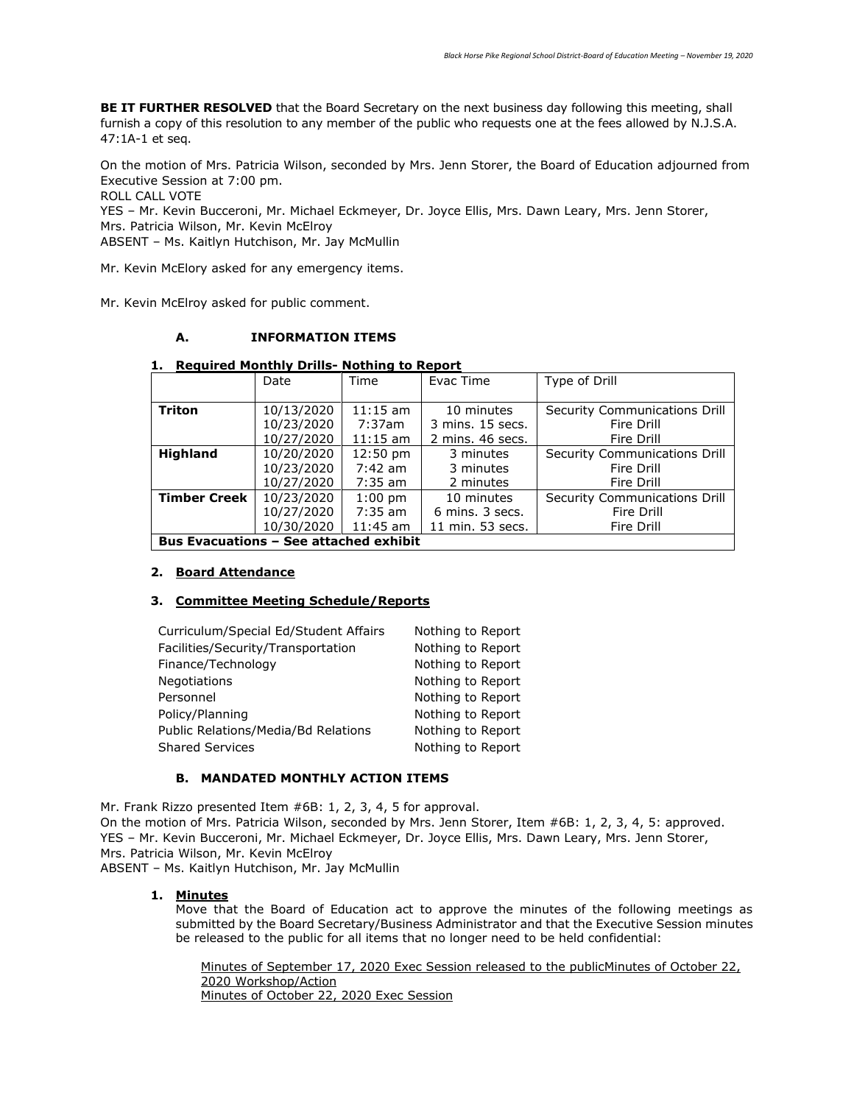**BE IT FURTHER RESOLVED** that the Board Secretary on the next business day following this meeting, shall furnish a copy of this resolution to any member of the public who requests one at the fees allowed by N.J.S.A. 47:1A-1 et seq.

On the motion of Mrs. Patricia Wilson, seconded by Mrs. Jenn Storer, the Board of Education adjourned from Executive Session at 7:00 pm.

ROLL CALL VOTE

YES – Mr. Kevin Bucceroni, Mr. Michael Eckmeyer, Dr. Joyce Ellis, Mrs. Dawn Leary, Mrs. Jenn Storer, Mrs. Patricia Wilson, Mr. Kevin McElroy

ABSENT – Ms. Kaitlyn Hutchison, Mr. Jay McMullin

Mr. Kevin McElory asked for any emergency items.

Mr. Kevin McElroy asked for public comment.

## **A. INFORMATION ITEMS**

#### **1. Required Monthly Drills- Nothing to Report**

|                                               | Date       | Time               | Evac Time        | Type of Drill                 |  |
|-----------------------------------------------|------------|--------------------|------------------|-------------------------------|--|
|                                               |            |                    |                  |                               |  |
| <b>Triton</b>                                 | 10/13/2020 | $11:15$ am         | 10 minutes       | Security Communications Drill |  |
|                                               | 10/23/2020 | 7:37am             | 3 mins. 15 secs. | Fire Drill                    |  |
|                                               | 10/27/2020 | $11:15$ am         | 2 mins, 46 secs. | Fire Drill                    |  |
| Highland                                      | 10/20/2020 | $12:50 \text{ pm}$ | 3 minutes        | Security Communications Drill |  |
|                                               | 10/23/2020 | $7:42$ am          | 3 minutes        | Fire Drill                    |  |
|                                               | 10/27/2020 | $7:35$ am          | 2 minutes        | Fire Drill                    |  |
| <b>Timber Creek</b>                           | 10/23/2020 | $1:00$ pm          | 10 minutes       | Security Communications Drill |  |
|                                               | 10/27/2020 | $7:35$ am          | 6 mins. 3 secs.  | Fire Drill                    |  |
|                                               | 10/30/2020 | $11:45$ am         | 11 min. 53 secs. | Fire Drill                    |  |
| <b>Bus Evacuations - See attached exhibit</b> |            |                    |                  |                               |  |

#### **2. Board Attendance**

#### **3. Committee Meeting Schedule/Reports**

| Curriculum/Special Ed/Student Affairs | Nothing to Report |
|---------------------------------------|-------------------|
| Facilities/Security/Transportation    | Nothing to Report |
| Finance/Technology                    | Nothing to Report |
| Negotiations                          | Nothing to Report |
| Personnel                             | Nothing to Report |
| Policy/Planning                       | Nothing to Report |
| Public Relations/Media/Bd Relations   | Nothing to Report |
| <b>Shared Services</b>                | Nothing to Report |

## **B. MANDATED MONTHLY ACTION ITEMS**

Mr. Frank Rizzo presented Item #6B: 1, 2, 3, 4, 5 for approval. On the motion of Mrs. Patricia Wilson, seconded by Mrs. Jenn Storer, Item #6B: 1, 2, 3, 4, 5: approved. YES – Mr. Kevin Bucceroni, Mr. Michael Eckmeyer, Dr. Joyce Ellis, Mrs. Dawn Leary, Mrs. Jenn Storer, Mrs. Patricia Wilson, Mr. Kevin McElroy ABSENT – Ms. Kaitlyn Hutchison, Mr. Jay McMullin

#### **1. Minutes**

Move that the Board of Education act to approve the minutes of the following meetings as submitted by the Board Secretary/Business Administrator and that the Executive Session minutes be released to the public for all items that no longer need to be held confidential:

Minutes of September 17, 2020 Exec Session released to the publicMinutes of October 22, 2020 Workshop/Action Minutes of October 22, 2020 Exec Session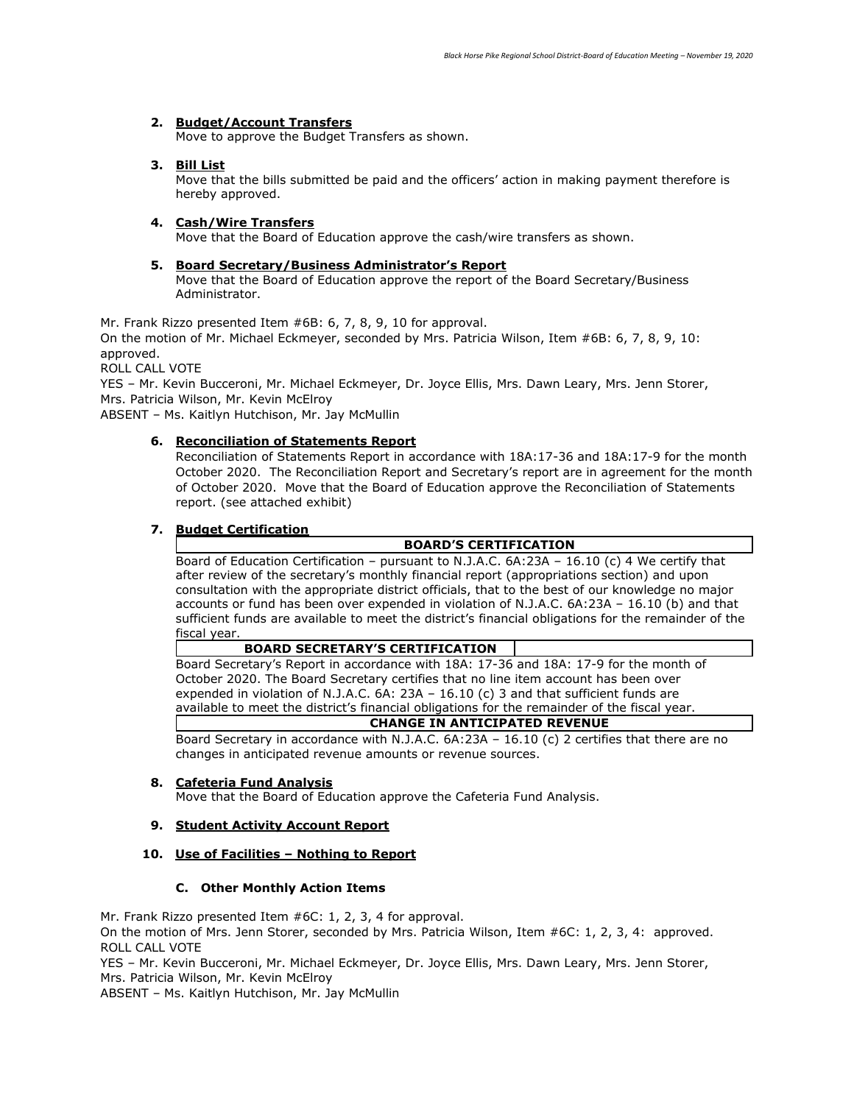#### **2. Budget/Account Transfers**

Move to approve the Budget Transfers as shown.

#### **3. Bill List**

Move that the bills submitted be paid and the officers' action in making payment therefore is hereby approved.

#### **4. Cash/Wire Transfers**

Move that the Board of Education approve the cash/wire transfers as shown.

#### **5. Board Secretary/Business Administrator's Report**

Move that the Board of Education approve the report of the Board Secretary/Business Administrator.

Mr. Frank Rizzo presented Item #6B: 6, 7, 8, 9, 10 for approval.

On the motion of Mr. Michael Eckmeyer, seconded by Mrs. Patricia Wilson, Item #6B: 6, 7, 8, 9, 10: approved.

ROLL CALL VOTE

YES – Mr. Kevin Bucceroni, Mr. Michael Eckmeyer, Dr. Joyce Ellis, Mrs. Dawn Leary, Mrs. Jenn Storer, Mrs. Patricia Wilson, Mr. Kevin McElroy

ABSENT – Ms. Kaitlyn Hutchison, Mr. Jay McMullin

## **6. Reconciliation of Statements Report**

Reconciliation of Statements Report in accordance with 18A:17-36 and 18A:17-9 for the month October 2020. The Reconciliation Report and Secretary's report are in agreement for the month of October 2020. Move that the Board of Education approve the Reconciliation of Statements report. (see attached exhibit)

## **7. Budget Certification**

## **BOARD'S CERTIFICATION**

Board of Education Certification – pursuant to N.J.A.C. 6A:23A – 16.10 (c) 4 We certify that after review of the secretary's monthly financial report (appropriations section) and upon consultation with the appropriate district officials, that to the best of our knowledge no major accounts or fund has been over expended in violation of N.J.A.C. 6A:23A – 16.10 (b) and that sufficient funds are available to meet the district's financial obligations for the remainder of the fiscal year.

#### **BOARD SECRETARY'S CERTIFICATION**

 Board Secretary's Report in accordance with 18A: 17-36 and 18A: 17-9 for the month of October 2020. The Board Secretary certifies that no line item account has been over expended in violation of N.J.A.C. 6A: 23A – 16.10 (c) 3 and that sufficient funds are available to meet the district's financial obligations for the remainder of the fiscal year.

### **CHANGE IN ANTICIPATED REVENUE**

Board Secretary in accordance with N.J.A.C. 6A:23A – 16.10 (c) 2 certifies that there are no changes in anticipated revenue amounts or revenue sources.

#### **8. Cafeteria Fund Analysis**

Move that the Board of Education approve the Cafeteria Fund Analysis.

#### **9. Student Activity Account Report**

#### **10. Use of Facilities – Nothing to Report**

#### **C. Other Monthly Action Items**

Mr. Frank Rizzo presented Item #6C: 1, 2, 3, 4 for approval.

On the motion of Mrs. Jenn Storer, seconded by Mrs. Patricia Wilson, Item #6C: 1, 2, 3, 4: approved. ROLL CALL VOTE

YES – Mr. Kevin Bucceroni, Mr. Michael Eckmeyer, Dr. Joyce Ellis, Mrs. Dawn Leary, Mrs. Jenn Storer, Mrs. Patricia Wilson, Mr. Kevin McElroy

ABSENT – Ms. Kaitlyn Hutchison, Mr. Jay McMullin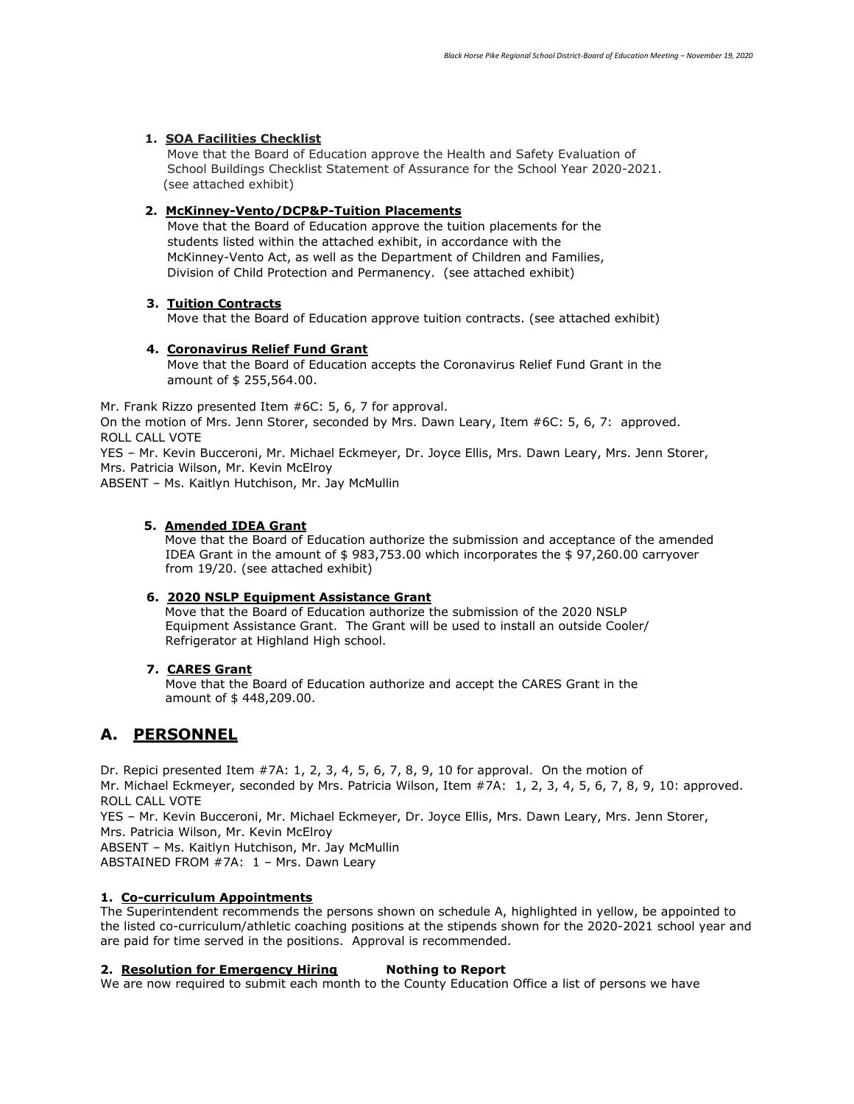## **1. SOA Facilities Checklist**

 Move that the Board of Education approve the Health and Safety Evaluation of School Buildings Checklist Statement of Assurance for the School Year 2020-2021. (see attached exhibit)

## **2. McKinney-Vento/DCP&P-Tuition Placements**

 Move that the Board of Education approve the tuition placements for the students listed within the attached exhibit, in accordance with the McKinney-Vento Act, as well as the Department of Children and Families, Division of Child Protection and Permanency. (see attached exhibit)

#### **3. Tuition Contracts**

Move that the Board of Education approve tuition contracts. (see attached exhibit)

#### **4. Coronavirus Relief Fund Grant**

 Move that the Board of Education accepts the Coronavirus Relief Fund Grant in the amount of \$ 255,564.00.

Mr. Frank Rizzo presented Item #6C: 5, 6, 7 for approval. On the motion of Mrs. Jenn Storer, seconded by Mrs. Dawn Leary, Item #6C: 5, 6, 7: approved. ROLL CALL VOTE

YES – Mr. Kevin Bucceroni, Mr. Michael Eckmeyer, Dr. Joyce Ellis, Mrs. Dawn Leary, Mrs. Jenn Storer, Mrs. Patricia Wilson, Mr. Kevin McElroy

ABSENT – Ms. Kaitlyn Hutchison, Mr. Jay McMullin

## **5. Amended IDEA Grant**

Move that the Board of Education authorize the submission and acceptance of the amended IDEA Grant in the amount of \$ 983,753.00 which incorporates the \$ 97,260.00 carryover from 19/20. (see attached exhibit)

#### **6. 2020 NSLP Equipment Assistance Grant**

Move that the Board of Education authorize the submission of the 2020 NSLP Equipment Assistance Grant. The Grant will be used to install an outside Cooler/ Refrigerator at Highland High school.

#### **7. CARES Grant**

Move that the Board of Education authorize and accept the CARES Grant in the amount of \$ 448,209.00.

## **A. PERSONNEL**

Dr. Repici presented Item #7A: 1, 2, 3, 4, 5, 6, 7, 8, 9, 10 for approval. On the motion of Mr. Michael Eckmeyer, seconded by Mrs. Patricia Wilson, Item #7A: 1, 2, 3, 4, 5, 6, 7, 8, 9, 10: approved. ROLL CALL VOTE

YES – Mr. Kevin Bucceroni, Mr. Michael Eckmeyer, Dr. Joyce Ellis, Mrs. Dawn Leary, Mrs. Jenn Storer, Mrs. Patricia Wilson, Mr. Kevin McElroy

ABSENT – Ms. Kaitlyn Hutchison, Mr. Jay McMullin

ABSTAINED FROM #7A: 1 – Mrs. Dawn Leary

## **1. Co-curriculum Appointments**

The Superintendent recommends the persons shown on schedule A, highlighted in yellow, be appointed to the listed co-curriculum/athletic coaching positions at the stipends shown for the 2020-2021 school year and are paid for time served in the positions. Approval is recommended.

#### **2. Resolution for Emergency Hiring Nothing to Report**

We are now required to submit each month to the County Education Office a list of persons we have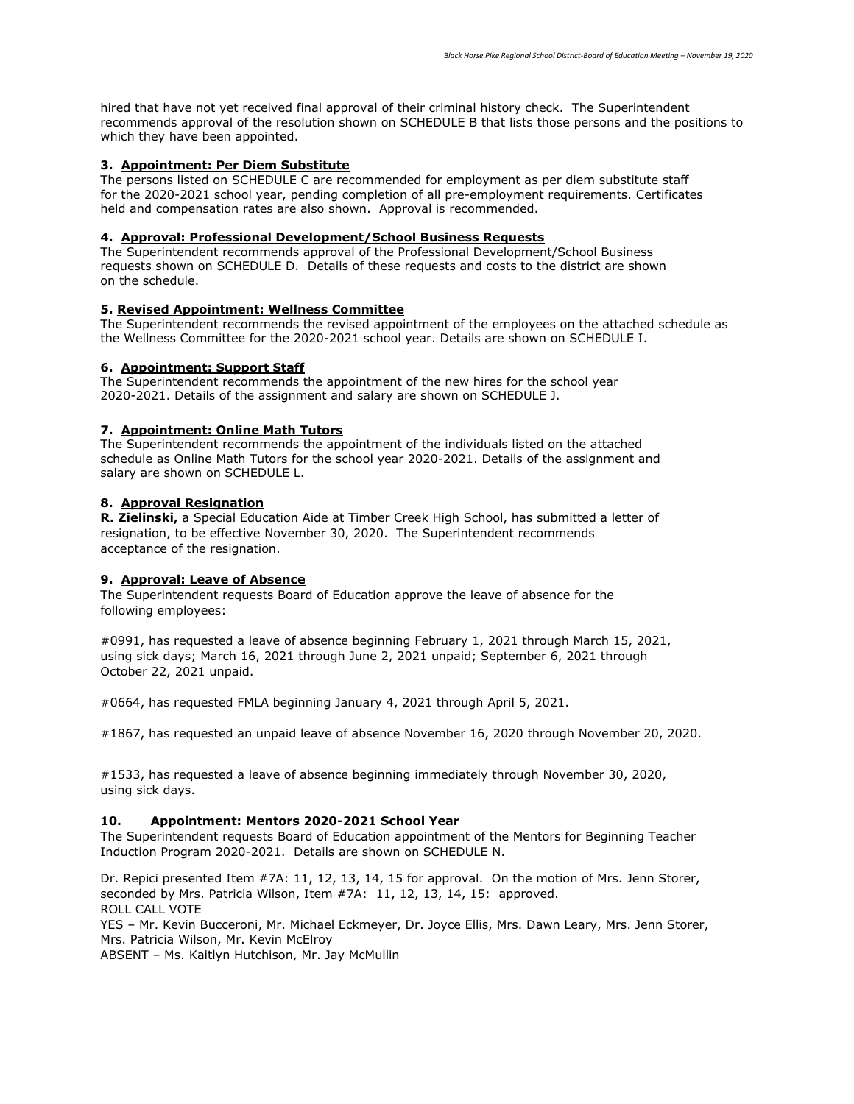hired that have not yet received final approval of their criminal history check. The Superintendent recommends approval of the resolution shown on SCHEDULE B that lists those persons and the positions to which they have been appointed.

#### **3. Appointment: Per Diem Substitute**

The persons listed on SCHEDULE C are recommended for employment as per diem substitute staff for the 2020-2021 school year, pending completion of all pre-employment requirements. Certificates held and compensation rates are also shown. Approval is recommended.

#### **4. Approval: Professional Development/School Business Requests**

The Superintendent recommends approval of the Professional Development/School Business requests shown on SCHEDULE D. Details of these requests and costs to the district are shown on the schedule.

#### **5. Revised Appointment: Wellness Committee**

The Superintendent recommends the revised appointment of the employees on the attached schedule as the Wellness Committee for the 2020-2021 school year. Details are shown on SCHEDULE I.

#### **6. Appointment: Support Staff**

The Superintendent recommends the appointment of the new hires for the school year 2020-2021. Details of the assignment and salary are shown on SCHEDULE J.

#### **7. Appointment: Online Math Tutors**

The Superintendent recommends the appointment of the individuals listed on the attached schedule as Online Math Tutors for the school year 2020-2021. Details of the assignment and salary are shown on SCHEDULE L.

#### **8. Approval Resignation**

**R. Zielinski,** a Special Education Aide at Timber Creek High School, has submitted a letter of resignation, to be effective November 30, 2020. The Superintendent recommends acceptance of the resignation.

#### **9. Approval: Leave of Absence**

The Superintendent requests Board of Education approve the leave of absence for the following employees:

#0991, has requested a leave of absence beginning February 1, 2021 through March 15, 2021, using sick days; March 16, 2021 through June 2, 2021 unpaid; September 6, 2021 through October 22, 2021 unpaid.

#0664, has requested FMLA beginning January 4, 2021 through April 5, 2021.

#1867, has requested an unpaid leave of absence November 16, 2020 through November 20, 2020.

#1533, has requested a leave of absence beginning immediately through November 30, 2020, using sick days.

#### **10. Appointment: Mentors 2020-2021 School Year**

The Superintendent requests Board of Education appointment of the Mentors for Beginning Teacher Induction Program 2020-2021. Details are shown on SCHEDULE N.

Dr. Repici presented Item #7A: 11, 12, 13, 14, 15 for approval. On the motion of Mrs. Jenn Storer, seconded by Mrs. Patricia Wilson, Item #7A: 11, 12, 13, 14, 15: approved. ROLL CALL VOTE

YES – Mr. Kevin Bucceroni, Mr. Michael Eckmeyer, Dr. Joyce Ellis, Mrs. Dawn Leary, Mrs. Jenn Storer, Mrs. Patricia Wilson, Mr. Kevin McElroy

ABSENT – Ms. Kaitlyn Hutchison, Mr. Jay McMullin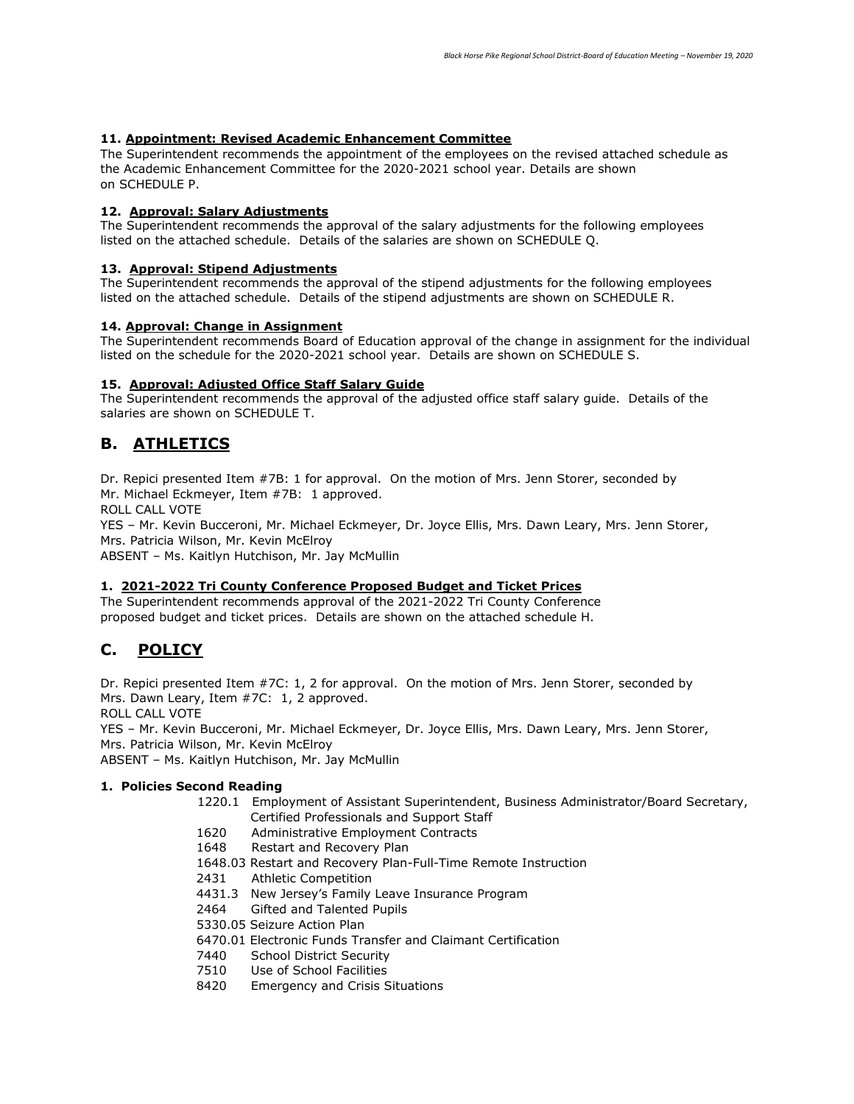#### **11. Appointment: Revised Academic Enhancement Committee**

The Superintendent recommends the appointment of the employees on the revised attached schedule as the Academic Enhancement Committee for the 2020-2021 school year. Details are shown on SCHEDULE P.

### **12. Approval: Salary Adjustments**

The Superintendent recommends the approval of the salary adjustments for the following employees listed on the attached schedule. Details of the salaries are shown on SCHEDULE Q.

## **13. Approval: Stipend Adjustments**

The Superintendent recommends the approval of the stipend adjustments for the following employees listed on the attached schedule. Details of the stipend adjustments are shown on SCHEDULE R.

#### **14. Approval: Change in Assignment**

The Superintendent recommends Board of Education approval of the change in assignment for the individual listed on the schedule for the 2020-2021 school year. Details are shown on SCHEDULE S.

#### **15. Approval: Adjusted Office Staff Salary Guide**

The Superintendent recommends the approval of the adjusted office staff salary guide. Details of the salaries are shown on SCHEDULE T.

# **B. ATHLETICS**

Dr. Repici presented Item #7B: 1 for approval. On the motion of Mrs. Jenn Storer, seconded by Mr. Michael Eckmeyer, Item #7B: 1 approved.

ROLL CALL VOTE

YES – Mr. Kevin Bucceroni, Mr. Michael Eckmeyer, Dr. Joyce Ellis, Mrs. Dawn Leary, Mrs. Jenn Storer, Mrs. Patricia Wilson, Mr. Kevin McElroy

ABSENT – Ms. Kaitlyn Hutchison, Mr. Jay McMullin

## **1. 2021-2022 Tri County Conference Proposed Budget and Ticket Prices**

The Superintendent recommends approval of the 2021-2022 Tri County Conference proposed budget and ticket prices. Details are shown on the attached schedule H.

# **C. POLICY**

Dr. Repici presented Item #7C: 1, 2 for approval. On the motion of Mrs. Jenn Storer, seconded by Mrs. Dawn Leary, Item #7C: 1, 2 approved.

ROLL CALL VOTE

YES – Mr. Kevin Bucceroni, Mr. Michael Eckmeyer, Dr. Joyce Ellis, Mrs. Dawn Leary, Mrs. Jenn Storer, Mrs. Patricia Wilson, Mr. Kevin McElroy

ABSENT – Ms. Kaitlyn Hutchison, Mr. Jay McMullin

## **1. Policies Second Reading**

- 1220.1 Employment of Assistant Superintendent, Business Administrator/Board Secretary, Certified Professionals and Support Staff
- 1620 Administrative Employment Contracts
- 1648 Restart and Recovery Plan
- 1648.03 Restart and Recovery Plan-Full-Time Remote Instruction
- 2431 Athletic Competition
- 4431.3 New Jersey's Family Leave Insurance Program
- 2464 Gifted and Talented Pupils
- 5330.05 Seizure Action Plan
- 6470.01 Electronic Funds Transfer and Claimant Certification
- 7440 School District Security
- 7510 Use of School Facilities
- 8420 Emergency and Crisis Situations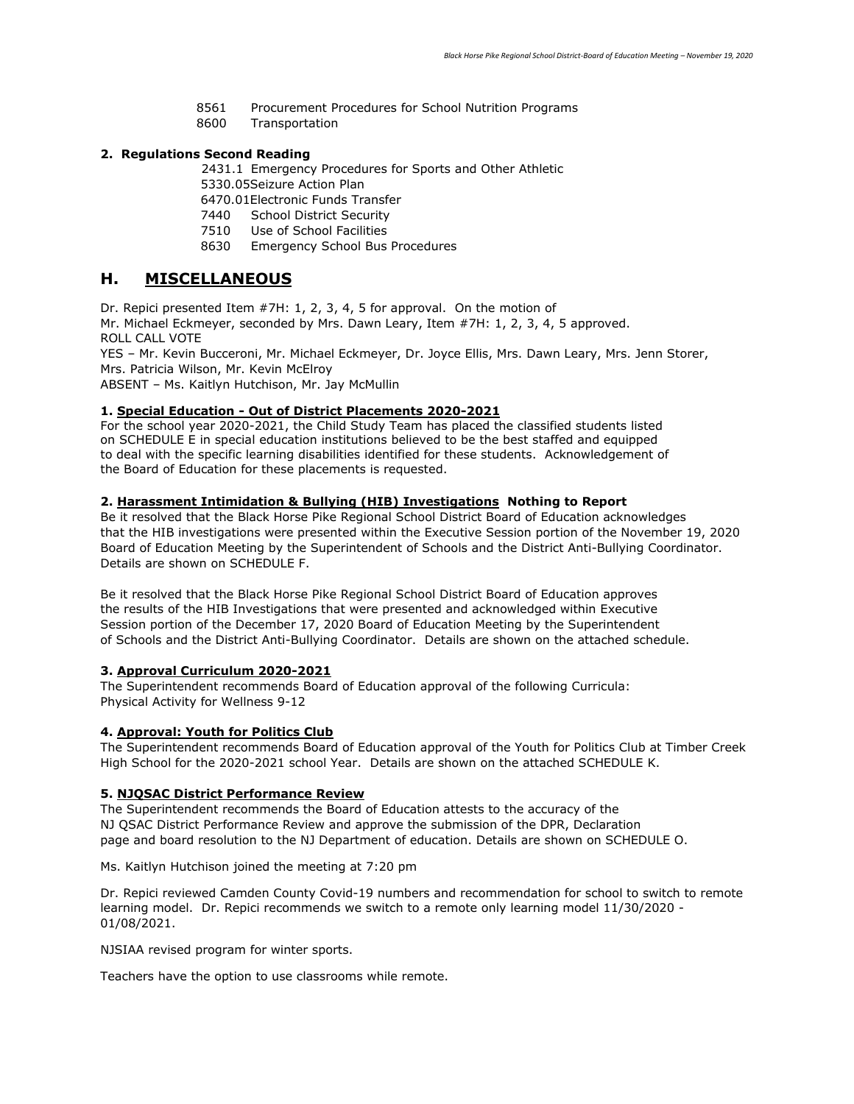- 8561 Procurement Procedures for School Nutrition Programs
- 8600 Transportation

## **2. Regulations Second Reading**

2431.1 Emergency Procedures for Sports and Other Athletic

- 5330.05Seizure Action Plan
- 6470.01Electronic Funds Transfer
- 7440 School District Security
- 7510 Use of School Facilities
- 8630 Emergency School Bus Procedures

## **H. MISCELLANEOUS**

Dr. Repici presented Item #7H: 1, 2, 3, 4, 5 for approval. On the motion of Mr. Michael Eckmeyer, seconded by Mrs. Dawn Leary, Item #7H: 1, 2, 3, 4, 5 approved. ROLL CALL VOTE

YES – Mr. Kevin Bucceroni, Mr. Michael Eckmeyer, Dr. Joyce Ellis, Mrs. Dawn Leary, Mrs. Jenn Storer, Mrs. Patricia Wilson, Mr. Kevin McElroy

ABSENT – Ms. Kaitlyn Hutchison, Mr. Jay McMullin

## **1. Special Education - Out of District Placements 2020-2021**

For the school year 2020-2021, the Child Study Team has placed the classified students listed on SCHEDULE E in special education institutions believed to be the best staffed and equipped to deal with the specific learning disabilities identified for these students. Acknowledgement of the Board of Education for these placements is requested.

## **2. Harassment Intimidation & Bullying (HIB) Investigations Nothing to Report**

Be it resolved that the Black Horse Pike Regional School District Board of Education acknowledges that the HIB investigations were presented within the Executive Session portion of the November 19, 2020 Board of Education Meeting by the Superintendent of Schools and the District Anti-Bullying Coordinator. Details are shown on SCHEDULE F.

Be it resolved that the Black Horse Pike Regional School District Board of Education approves the results of the HIB Investigations that were presented and acknowledged within Executive Session portion of the December 17, 2020 Board of Education Meeting by the Superintendent of Schools and the District Anti-Bullying Coordinator. Details are shown on the attached schedule.

#### **3. Approval Curriculum 2020-2021**

The Superintendent recommends Board of Education approval of the following Curricula: Physical Activity for Wellness 9-12

#### **4. Approval: Youth for Politics Club**

The Superintendent recommends Board of Education approval of the Youth for Politics Club at Timber Creek High School for the 2020-2021 school Year. Details are shown on the attached SCHEDULE K.

## **5. NJQSAC District Performance Review**

The Superintendent recommends the Board of Education attests to the accuracy of the NJ QSAC District Performance Review and approve the submission of the DPR, Declaration page and board resolution to the NJ Department of education. Details are shown on SCHEDULE O.

Ms. Kaitlyn Hutchison joined the meeting at 7:20 pm

Dr. Repici reviewed Camden County Covid-19 numbers and recommendation for school to switch to remote learning model. Dr. Repici recommends we switch to a remote only learning model 11/30/2020 - 01/08/2021.

NJSIAA revised program for winter sports.

Teachers have the option to use classrooms while remote.